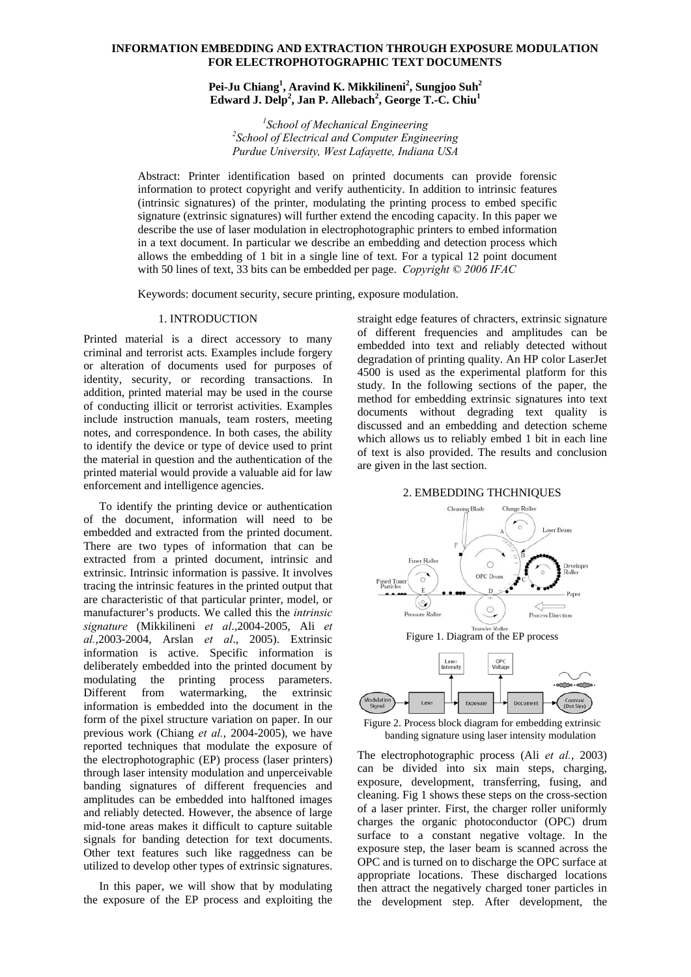# **INFORMATION EMBEDDING AND EXTRACTION THROUGH EXPOSURE MODULATION FOR ELECTROPHOTOGRAPHIC TEXT DOCUMENTS**

# **Pei-Ju Chiang1 , Aravind K. Mikkilineni<sup>2</sup> , Sungjoo Suh2 Edward J. Delp<sup>2</sup> , Jan P. Allebach<sup>2</sup> , George T.-C. Chiu1**

<sup>1</sup>School of Mechanical Engineering<sup>2</sup><br><sup>2</sup>School of Electrical and Commuter Engine *School of Electrical and Computer Engineering Purdue University, West Lafayette, Indiana USA*

Abstract: Printer identification based on printed documents can provide forensic information to protect copyright and verify authenticity. In addition to intrinsic features (intrinsic signatures) of the printer, modulating the printing process to embed specific signature (extrinsic signatures) will further extend the encoding capacity. In this paper we describe the use of laser modulation in electrophotographic printers to embed information in a text document. In particular we describe an embedding and detection process which allows the embedding of 1 bit in a single line of text. For a typical 12 point document with 50 lines of text, 33 bits can be embedded per page. *Copyright © 2006 IFAC*

Keywords: document security, secure printing, exposure modulation.

### 1. INTRODUCTION

Printed material is a direct accessory to many criminal and terrorist acts. Examples include forgery or alteration of documents used for purposes of identity, security, or recording transactions. In addition, printed material may be used in the course of conducting illicit or terrorist activities. Examples include instruction manuals, team rosters, meeting notes, and correspondence. In both cases, the ability to identify the device or type of device used to print the material in question and the authentication of the printed material would provide a valuable aid for law enforcement and intelligence agencies.

To identify the printing device or authentication of the document, information will need to be embedded and extracted from the printed document. There are two types of information that can be extracted from a printed document, intrinsic and extrinsic. Intrinsic information is passive. It involves tracing the intrinsic features in the printed output that are characteristic of that particular printer, model, or manufacturer's products. We called this the *intrinsic signature* (Mikkilineni *et al*.,2004-2005, Ali *et al.*,2003-2004, Arslan *et al*., 2005). Extrinsic information is active. Specific information is deliberately embedded into the printed document by modulating the printing process parameters. Different from watermarking, the extrinsic information is embedded into the document in the form of the pixel structure variation on paper. In our previous work (Chiang *et al.*, 2004-2005), we have reported techniques that modulate the exposure of the electrophotographic (EP) process (laser printers) through laser intensity modulation and unperceivable banding signatures of different frequencies and amplitudes can be embedded into halftoned images and reliably detected. However, the absence of large mid-tone areas makes it difficult to capture suitable signals for banding detection for text documents. Other text features such like raggedness can be utilized to develop other types of extrinsic signatures.

In this paper, we will show that by modulating the exposure of the EP process and exploiting the straight edge features of chracters, extrinsic signature of different frequencies and amplitudes can be embedded into text and reliably detected without degradation of printing quality. An HP color LaserJet 4500 is used as the experimental platform for this study. In the following sections of the paper, the method for embedding extrinsic signatures into text documents without degrading text quality is discussed and an embedding and detection scheme which allows us to reliably embed 1 bit in each line of text is also provided. The results and conclusion are given in the last section.







Figure 2. Process block diagram for embedding extrinsic banding signature using laser intensity modulation

The electrophotographic process (Ali *et al.*, 2003) can be divided into six main steps, charging, exposure, development, transferring, fusing, and cleaning. Fig 1 shows these steps on the cross-section of a laser printer. First, the charger roller uniformly charges the organic photoconductor (OPC) drum surface to a constant negative voltage. In the exposure step, the laser beam is scanned across the OPC and is turned on to discharge the OPC surface at appropriate locations. These discharged locations then attract the negatively charged toner particles in the development step. After development, the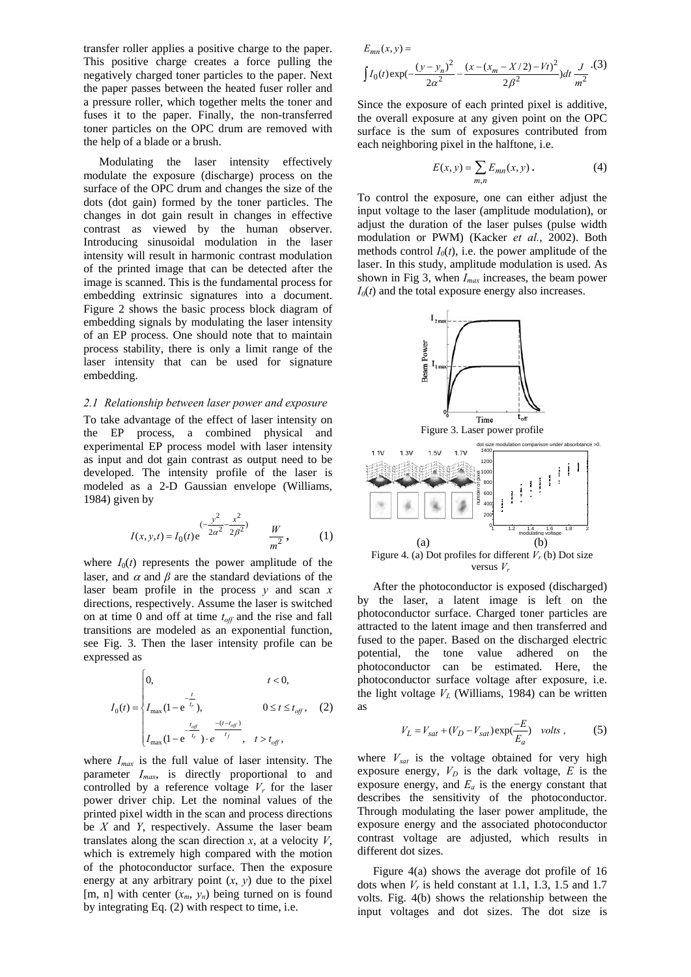transfer roller applies a positive charge to the paper. This positive charge creates a force pulling the negatively charged toner particles to the paper. Next the paper passes between the heated fuser roller and a pressure roller, which together melts the toner and fuses it to the paper. Finally, the non-transferred toner particles on the OPC drum are removed with the help of a blade or a brush.

Modulating the laser intensity effectively modulate the exposure (discharge) process on the surface of the OPC drum and changes the size of the dots (dot gain) formed by the toner particles. The changes in dot gain result in changes in effective contrast as viewed by the human observer. Introducing sinusoidal modulation in the laser intensity will result in harmonic contrast modulation of the printed image that can be detected after the image is scanned. This is the fundamental process for embedding extrinsic signatures into a document. Figure 2 shows the basic process block diagram of embedding signals by modulating the laser intensity of an EP process. One should note that to maintain process stability, there is only a limit range of the laser intensity that can be used for signature embedding.

### *2.1 Relationship between laser power and exposure*

To take advantage of the effect of laser intensity on the EP process, a combined physical and experimental EP process model with laser intensity as input and dot gain contrast as output need to be developed. The intensity profile of the laser is modeled as a 2-D Gaussian envelope (Williams, 1984) given by

$$
I(x, y, t) = I_0(t) e^{-\frac{y^2}{2\alpha^2} - \frac{x^2}{2\beta^2}} \qquad \frac{W}{m^2},
$$
 (1)

where  $I_0(t)$  represents the power amplitude of the laser, and  $\alpha$  and  $\beta$  are the standard deviations of the laser beam profile in the process *y* and scan *x* directions, respectively. Assume the laser is switched on at time 0 and off at time  $t_{off}$  and the rise and fall transitions are modeled as an exponential function, see Fig. 3. Then the laser intensity profile can be expressed as

$$
I_0(t) = \begin{cases} 0, & t < 0, \\ I_{\max}(1 - e^{-\frac{t}{t_r}}), & 0 \le t \le t_{off}, \\ I_{\max}(1 - e^{-\frac{t_{off}}{t_r}}) \cdot e^{-\frac{-(t - t_{off})}{t_f}}, & t > t_{off}, \end{cases}
$$
 (2)

where *Imax* is the full value of laser intensity. The parameter *Imax*, is directly proportional to and controlled by a reference voltage  $V_r$  for the laser power driver chip. Let the nominal values of the printed pixel width in the scan and process directions be *X* and *Y*, respectively. Assume the laser beam translates along the scan direction  $x$ , at a velocity  $V$ , which is extremely high compared with the motion of the photoconductor surface. Then the exposure energy at any arbitrary point  $(x, y)$  due to the pixel [m, n] with center  $(x_m, y_n)$  being turned on is found by integrating Eq. (2) with respect to time, i.e.

$$
E_{mn}(x,y) =
$$

$$
\int I_0(t) \exp(-\frac{(y - y_n)^2}{2a^2} - \frac{(x - (x_m - X/2) - Vt)^2}{2\beta^2}) dt \frac{J}{m^2}.
$$
 (3)

Since the exposure of each printed pixel is additive, the overall exposure at any given point on the OPC surface is the sum of exposures contributed from each neighboring pixel in the halftone, i.e.

$$
E(x, y) = \sum_{m,n} E_{mn}(x, y)
$$
 (4)

To control the exposure, one can either adjust the input voltage to the laser (amplitude modulation), or adjust the duration of the laser pulses (pulse width modulation or PWM) (Kacker *et al.*, 2002). Both methods control  $I_0(t)$ , i.e. the power amplitude of the laser. In this study, amplitude modulation is used. As shown in Fig 3, when *Imax* increases, the beam power  $I_0(t)$  and the total exposure energy also increases.



After the photoconductor is exposed (discharged) by the laser, a latent image is left on the photoconductor surface. Charged toner particles are attracted to the latent image and then transferred and fused to the paper. Based on the discharged electric potential, the tone value adhered on the photoconductor can be estimated. Here, the photoconductor surface voltage after exposure, i.e. the light voltage  $V_L$  (Williams, 1984) can be written as

$$
V_L = V_{sat} + (V_D - V_{sat}) \exp(\frac{-E}{E_a}) \quad volts \,, \tag{5}
$$

where  $V_{\text{sat}}$  is the voltage obtained for very high exposure energy,  $V_D$  is the dark voltage,  $E$  is the exposure energy, and  $E_a$  is the energy constant that describes the sensitivity of the photoconductor. Through modulating the laser power amplitude, the exposure energy and the associated photoconductor contrast voltage are adjusted, which results in different dot sizes.

Figure 4(a) shows the average dot profile of 16 dots when  $V_r$  is held constant at 1.1, 1.3, 1.5 and 1.7 volts. Fig. 4(b) shows the relationship between the input voltages and dot sizes. The dot size is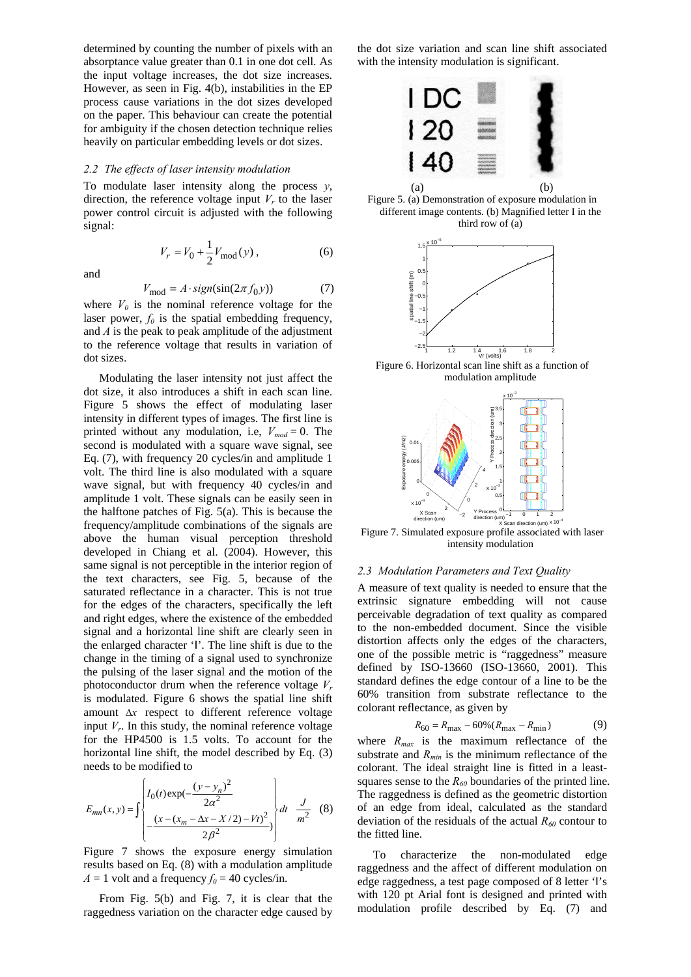determined by counting the number of pixels with an absorptance value greater than 0.1 in one dot cell. As the input voltage increases, the dot size increases. However, as seen in Fig. 4(b), instabilities in the EP process cause variations in the dot sizes developed on the paper. This behaviour can create the potential for ambiguity if the chosen detection technique relies heavily on particular embedding levels or dot sizes.

### *2.2 The effects of laser intensity modulation*

To modulate laser intensity along the process *,* direction, the reference voltage input  $V_r$  to the laser power control circuit is adjusted with the following signal:

and

$$
V_{\text{mod}} = A \cdot sign(\sin(2\pi f_0 y))
$$
 (7)

 $V_r = V_0 + \frac{1}{2} V_{\text{mod}}(y)$ , (6)

where  $V_0$  is the nominal reference voltage for the laser power,  $f_0$  is the spatial embedding frequency, and *A* is the peak to peak amplitude of the adjustment to the reference voltage that results in variation of dot sizes.

Modulating the laser intensity not just affect the dot size, it also introduces a shift in each scan line. Figure 5 shows the effect of modulating laser intensity in different types of images. The first line is printed without any modulation, i.e,  $V_{mod} = 0$ . The second is modulated with a square wave signal, see Eq. (7), with frequency 20 cycles/in and amplitude 1 volt. The third line is also modulated with a square wave signal, but with frequency 40 cycles/in and amplitude 1 volt. These signals can be easily seen in the halftone patches of Fig. 5(a). This is because the frequency/amplitude combinations of the signals are above the human visual perception threshold developed in Chiang et al. (2004). However, this same signal is not perceptible in the interior region of the text characters, see Fig. 5, because of the saturated reflectance in a character. This is not true for the edges of the characters, specifically the left and right edges, where the existence of the embedded signal and a horizontal line shift are clearly seen in the enlarged character 'I'. The line shift is due to the change in the timing of a signal used to synchronize the pulsing of the laser signal and the motion of the photoconductor drum when the reference voltage  $V_r$ is modulated. Figure 6 shows the spatial line shift amount Δ*x* respect to different reference voltage input  $V_r$ . In this study, the nominal reference voltage for the HP4500 is 1.5 volts. To account for the horizontal line shift, the model described by Eq. (3) needs to be modified to

$$
E_{mn}(x, y) = \int \begin{cases} I_0(t) \exp(-\frac{(y - y_n)^2}{2\alpha^2}) \\ -\frac{(x - (x_m - \Delta x - X/2) - Vt)^2}{2\beta^2} \end{cases} dt + \frac{J}{m^2}
$$
 (8)

Figure 7 shows the exposure energy simulation results based on Eq. (8) with a modulation amplitude  $A = 1$  volt and a frequency  $f_0 = 40$  cycles/in.

From Fig. 5(b) and Fig. 7, it is clear that the raggedness variation on the character edge caused by the dot size variation and scan line shift associated with the intensity modulation is significant.



Figure 5. (a) Demonstration of exposure modulation in different image contents. (b) Magnified letter I in the third row of (a)



Figure 6. Horizontal scan line shift as a function of modulation amplitude



Figure 7. Simulated exposure profile associated with laser intensity modulation

# *2.3 Modulation Parameters and Text Quality*

A measure of text quality is needed to ensure that the extrinsic signature embedding will not cause perceivable degradation of text quality as compared to the non-embedded document. Since the visible distortion affects only the edges of the characters, one of the possible metric is "raggedness" measure defined by ISO-13660 (ISO-13660, 2001). This standard defines the edge contour of a line to be the 60% transition from substrate reflectance to the colorant reflectance, as given by

$$
R_{60} = R_{\text{max}} - 60\% (R_{\text{max}} - R_{\text{min}})
$$
 (9)

where  $R_{max}$  is the maximum reflectance of the substrate and  $R_{min}$  is the minimum reflectance of the colorant. The ideal straight line is fitted in a leastsquares sense to the  $R_{60}$  boundaries of the printed line. The raggedness is defined as the geometric distortion of an edge from ideal, calculated as the standard deviation of the residuals of the actual  $R_{60}$  contour to the fitted line.

To characterize the non-modulated edge raggedness and the affect of different modulation on edge raggedness, a test page composed of 8 letter 'I's with 120 pt Arial font is designed and printed with modulation profile described by Eq. (7) and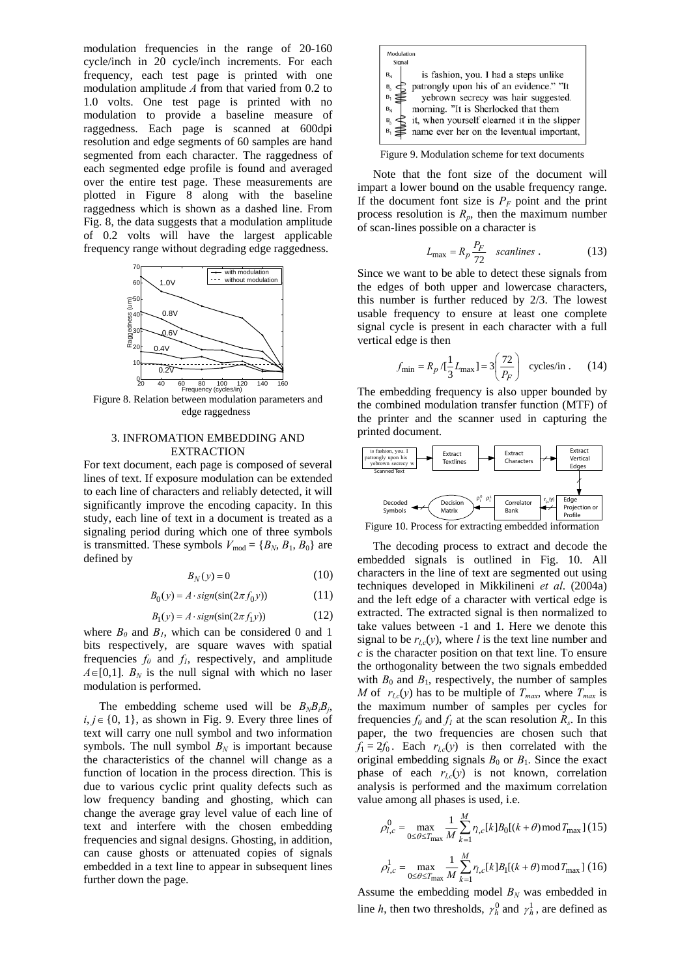modulation frequencies in the range of 20-160 cycle/inch in 20 cycle/inch increments. For each frequency, each test page is printed with one modulation amplitude *A* from that varied from 0.2 to 1.0 volts. One test page is printed with no modulation to provide a baseline measure of raggedness. Each page is scanned at 600dpi resolution and edge segments of 60 samples are hand segmented from each character. The raggedness of each segmented edge profile is found and averaged over the entire test page. These measurements are plotted in Figure 8 along with the baseline raggedness which is shown as a dashed line. From Fig. 8, the data suggests that a modulation amplitude of 0.2 volts will have the largest applicable frequency range without degrading edge raggedness.



Figure 8. Relation between modulation parameters and edge raggedness

### 3. INFROMATION EMBEDDING AND EXTRACTION

For text document, each page is composed of several lines of text. If exposure modulation can be extended to each line of characters and reliably detected, it will significantly improve the encoding capacity. In this study, each line of text in a document is treated as a signaling period during which one of three symbols is transmitted. These symbols  $V_{\text{mod}} = \{B_N, B_1, B_0\}$  are defined by

$$
B_N(y) = 0 \tag{10}
$$

$$
B_0(y) = A \cdot sign(\sin(2\pi f_0 y))
$$
 (11)

$$
B_1(y) = A \cdot sign(sin(2\pi f_1 y))
$$
 (12)

where  $B_0$  and  $B_1$ , which can be considered 0 and 1 bits respectively, are square waves with spatial frequencies  $f_0$  and  $f_1$ , respectively, and amplitude  $A \in [0,1]$ .  $B_N$  is the null signal with which no laser modulation is performed.

The embedding scheme used will be  $B_N B_i B_i$ , *i*,  $j ∈ {0, 1}$ , as shown in Fig. 9. Every three lines of text will carry one null symbol and two information symbols. The null symbol  $B_N$  is important because the characteristics of the channel will change as a function of location in the process direction. This is due to various cyclic print quality defects such as low frequency banding and ghosting, which can change the average gray level value of each line of text and interfere with the chosen embedding frequencies and signal designs. Ghosting, in addition, can cause ghosts or attenuated copies of signals embedded in a text line to appear in subsequent lines further down the page.



Figure 9. Modulation scheme for text documents

Note that the font size of the document will impart a lower bound on the usable frequency range. If the document font size is  $P_F$  point and the print process resolution is  $R_p$ , then the maximum number of scan-lines possible on a character is

$$
L_{\text{max}} = R_p \frac{P_F}{72} \quad scalines \tag{13}
$$

Since we want to be able to detect these signals from the edges of both upper and lowercase characters, this number is further reduced by 2/3. The lowest usable frequency to ensure at least one complete signal cycle is present in each character with a full vertical edge is then

$$
f_{\min} = R_p / \left(\frac{1}{3} L_{\max}\right) = 3 \left(\frac{72}{P_F}\right) \text{ cycles/in.}
$$
 (14)

The embedding frequency is also upper bounded by the combined modulation transfer function (MTF) of the printer and the scanner used in capturing the printed document.



The decoding process to extract and decode the embedded signals is outlined in Fig. 10. All characters in the line of text are segmented out using techniques developed in Mikkilineni *et al*. (2004a) and the left edge of a character with vertical edge is extracted. The extracted signal is then normalized to take values between -1 and 1. Here we denote this signal to be  $r_{l,c}(y)$ , where *l* is the text line number and *c* is the character position on that text line. To ensure the orthogonality between the two signals embedded with  $B_0$  and  $B_1$ , respectively, the number of samples *M* of  $r_{lc}(y)$  has to be multiple of  $T_{max}$ , where  $T_{max}$  is the maximum number of samples per cycles for frequencies  $f_0$  and  $f_1$  at the scan resolution  $R_s$ . In this paper, the two frequencies are chosen such that  $f_1 = 2f_0$ . Each  $r_{l,c}(y)$  is then correlated with the original embedding signals  $B_0$  or  $B_1$ . Since the exact phase of each  $r_{l,c}(y)$  is not known, correlation analysis is performed and the maximum correlation value among all phases is used, i.e.

$$
\rho_{l,c}^0 = \max_{0 \le \theta \le T_{\text{max}}} \frac{1}{M} \sum_{k=1}^M r_{l,c}[k] B_0[(k+\theta) \mod T_{\text{max}}] \tag{15}
$$
\n
$$
\rho_{l,c}^1 = \max_{0 \le \theta \le T_{\text{max}}} \frac{1}{M} \sum_{k=1}^M r_{l,c}[k] B_1[(k+\theta) \mod T_{\text{max}}] \tag{16}
$$

Assume the embedding model  $B_N$  was embedded in line *h*, then two thresholds,  $\gamma_h^0$  and  $\gamma_h^1$ , are defined as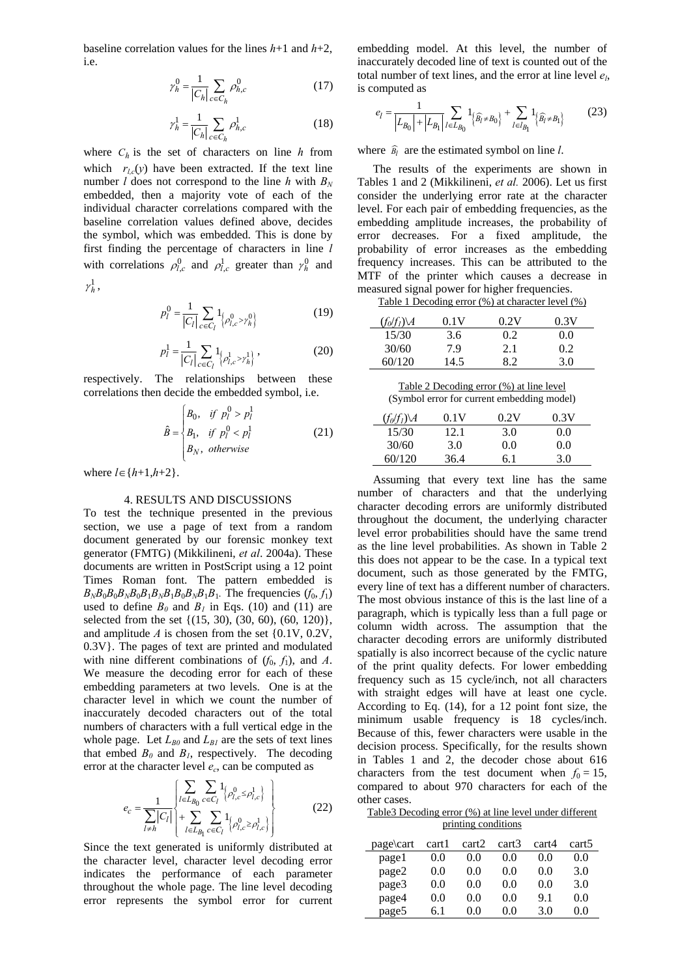baseline correlation values for the lines *h*+1 and *h*+2, i.e.

$$
\gamma_h^0 = \frac{1}{|C_h|} \sum_{c \in C_h} \rho_{h,c}^0
$$
 (17)

$$
\gamma_h^1 = \frac{1}{|C_h|} \sum_{c \in C_h} \rho_{h,c}^1 \tag{18}
$$

where  $C_h$  is the set of characters on line *h* from which  $r_{l,c}(y)$  have been extracted. If the text line number *l* does not correspond to the line *h* with  $B_N$ embedded, then a majority vote of each of the individual character correlations compared with the baseline correlation values defined above, decides the symbol, which was embedded. This is done by first finding the percentage of characters in line *l* with correlations  $\rho_{l,c}^0$  and  $\rho_{l,c}^1$  greater than  $\gamma_h^0$  and  $\gamma^1_h$ ,

$$
p_l^0 = \frac{1}{|C_l|} \sum_{c \in C_l} 1_{\{\rho_{l,c}^0 > \gamma_h^0\}} \tag{19}
$$

$$
p_l^1 = \frac{1}{|C_l|} \sum_{c \in C_l} 1_{\left\{\rho_{l,c}^1 > \gamma_h^1\right\}} ,\tag{20}
$$

respectively. The relationships between these correlations then decide the embedded symbol, i.e.

$$
\hat{B} = \begin{cases}\nB_0, & \text{if } p_l^0 > p_l^1 \\
B_1, & \text{if } p_l^0 < p_l^1 \\
B_N, & \text{otherwise}\n\end{cases}
$$
\n(21)

where  $l \in \{h+1, h+2\}$ .

# 4. RESULTS AND DISCUSSIONS

To test the technique presented in the previous section, we use a page of text from a random document generated by our forensic monkey text generator (FMTG) (Mikkilineni, *et al*. 2004a). These documents are written in PostScript using a 12 point Times Roman font. The pattern embedded is  $B_N B_0 B_0 B_N B_0 B_1 B_N B_1 B_0 B_N B_1 B_1$ . The frequencies  $(f_0, f_1)$ used to define  $B_0$  and  $B_1$  in Eqs. (10) and (11) are selected from the set  $\{(15, 30), (30, 60), (60, 120)\},\$ and amplitude  $A$  is chosen from the set  $\{0.1V, 0.2V,$ 0.3V}. The pages of text are printed and modulated with nine different combinations of  $(f_0, f_1)$ , and A. We measure the decoding error for each of these embedding parameters at two levels. One is at the character level in which we count the number of inaccurately decoded characters out of the total numbers of characters with a full vertical edge in the whole page. Let  $L_{B0}$  and  $L_{BI}$  are the sets of text lines that embed  $B_0$  and  $B_1$ , respectively. The decoding error at the character level  $e_c$ , can be computed as

$$
e_c = \frac{1}{\sum_{l \neq h} |C_l|} \left\{ \sum_{l \in L_{B_0}} \sum_{c \in C_l} 1_{\{\rho_{l,c}^0 \le \rho_{l,c}^1\}} \right\} + \sum_{l \in L_{B_1}} \sum_{c \in C_l} 1_{\{\rho_{l,c}^0 \ge \rho_{l,c}^1\}} \left\}
$$
(22)

Since the text generated is uniformly distributed at the character level, character level decoding error indicates the performance of each parameter throughout the whole page. The line level decoding error represents the symbol error for current embedding model. At this level, the number of inaccurately decoded line of text is counted out of the total number of text lines, and the error at line level *el*, is computed as

$$
e_{l} = \frac{1}{|L_{B_0}| + |L_{B_1}|} \sum_{l \in L_{B_0}} 1_{\{\widehat{B}_l \neq B_0\}} + \sum_{l \in I_{B_1}} 1_{\{\widehat{B}_l \neq B_1\}} \tag{23}
$$

where  $\widehat{B}_l$  are the estimated symbol on line *l*.

The results of the experiments are shown in Tables 1 and 2 (Mikkilineni, *et al.* 2006). Let us first consider the underlying error rate at the character level. For each pair of embedding frequencies, as the embedding amplitude increases, the probability of error decreases. For a fixed amplitude, the probability of error increases as the embedding frequency increases. This can be attributed to the MTF of the printer which causes a decrease in measured signal power for higher frequencies.

Table 1 Decoding error (%) at character level (%)

| $(f_0/f_1)\backslash A$ | 0.1V | 0.2V | 0.3V |
|-------------------------|------|------|------|
| 15/30                   | 3.6  | 0.2  | 0.0  |
| 30/60                   | 7.9  | 2.1  | 02   |
| 60/120                  | 14.5 | 82   | 3.0  |

| Table 2 Decoding error (%) at line level   |
|--------------------------------------------|
| (Symbol error for current embedding model) |

| $(f_0/f_1)\setminus A$ | 0.1V | 0.2V | 0.3V |
|------------------------|------|------|------|
| 15/30                  | 12.1 | 3.0  | 0.0  |
| 30/60                  | 3.0  | 0.0  | 0.0  |
| 60/120                 | 36.4 | 6.1  | 3.0  |

Assuming that every text line has the same number of characters and that the underlying character decoding errors are uniformly distributed throughout the document, the underlying character level error probabilities should have the same trend as the line level probabilities. As shown in Table 2 this does not appear to be the case. In a typical text document, such as those generated by the FMTG, every line of text has a different number of characters. The most obvious instance of this is the last line of a paragraph, which is typically less than a full page or column width across. The assumption that the character decoding errors are uniformly distributed spatially is also incorrect because of the cyclic nature of the print quality defects. For lower embedding frequency such as 15 cycle/inch, not all characters with straight edges will have at least one cycle. According to Eq. (14), for a 12 point font size, the minimum usable frequency is 18 cycles/inch. Because of this, fewer characters were usable in the decision process. Specifically, for the results shown in Tables 1 and 2, the decoder chose about 616 characters from the test document when  $f_0 = 15$ , compared to about 970 characters for each of the other cases.

Table3 Decoding error (%) at line level under different printing conditions

| page\cart | cart1 | cart2 | cart3 | cart4 | cart <sub>5</sub> |
|-----------|-------|-------|-------|-------|-------------------|
| page1     | 0.0   | 0.0   | (0.0) | (0.0) | 0.0               |
| page2     | 0.0   | 0.0   | 0.0   | 0.0   | 3.0               |
| page3     | 0.0   | 0.0   | 0.0   | 0.0   | 3.0               |
| page4     | 0.0   | 0.0   | 0.0   | 9.1   | 0.0               |
| page5     | 6.1   | (0.0) | 0.0   | 3.0   | 0.0               |